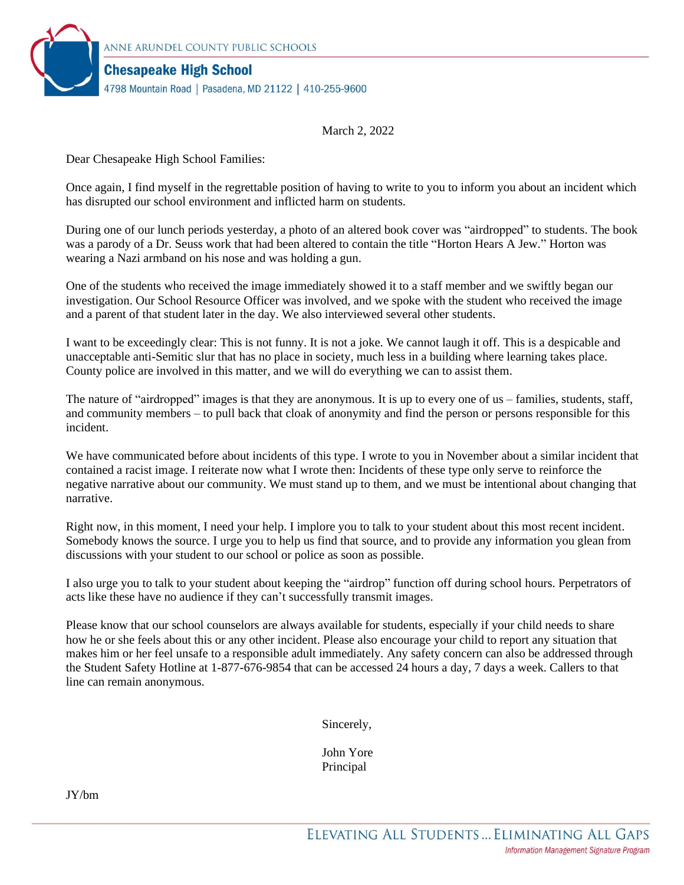

March 2, 2022

Dear Chesapeake High School Families:

Once again, I find myself in the regrettable position of having to write to you to inform you about an incident which has disrupted our school environment and inflicted harm on students.

During one of our lunch periods yesterday, a photo of an altered book cover was "airdropped" to students. The book was a parody of a Dr. Seuss work that had been altered to contain the title "Horton Hears A Jew." Horton was wearing a Nazi armband on his nose and was holding a gun.

One of the students who received the image immediately showed it to a staff member and we swiftly began our investigation. Our School Resource Officer was involved, and we spoke with the student who received the image and a parent of that student later in the day. We also interviewed several other students.

I want to be exceedingly clear: This is not funny. It is not a joke. We cannot laugh it off. This is a despicable and unacceptable anti-Semitic slur that has no place in society, much less in a building where learning takes place. County police are involved in this matter, and we will do everything we can to assist them.

The nature of "airdropped" images is that they are anonymous. It is up to every one of us – families, students, staff, and community members – to pull back that cloak of anonymity and find the person or persons responsible for this incident.

We have communicated before about incidents of this type. I wrote to you in November about a similar incident that contained a racist image. I reiterate now what I wrote then: Incidents of these type only serve to reinforce the negative narrative about our community. We must stand up to them, and we must be intentional about changing that narrative.

Right now, in this moment, I need your help. I implore you to talk to your student about this most recent incident. Somebody knows the source. I urge you to help us find that source, and to provide any information you glean from discussions with your student to our school or police as soon as possible.

I also urge you to talk to your student about keeping the "airdrop" function off during school hours. Perpetrators of acts like these have no audience if they can't successfully transmit images.

Please know that our school counselors are always available for students, especially if your child needs to share how he or she feels about this or any other incident. Please also encourage your child to report any situation that makes him or her feel unsafe to a responsible adult immediately. Any safety concern can also be addressed through the Student Safety Hotline at 1-877-676-9854 that can be accessed 24 hours a day, 7 days a week. Callers to that line can remain anonymous.

Sincerely,

John Yore Principal

JY/bm